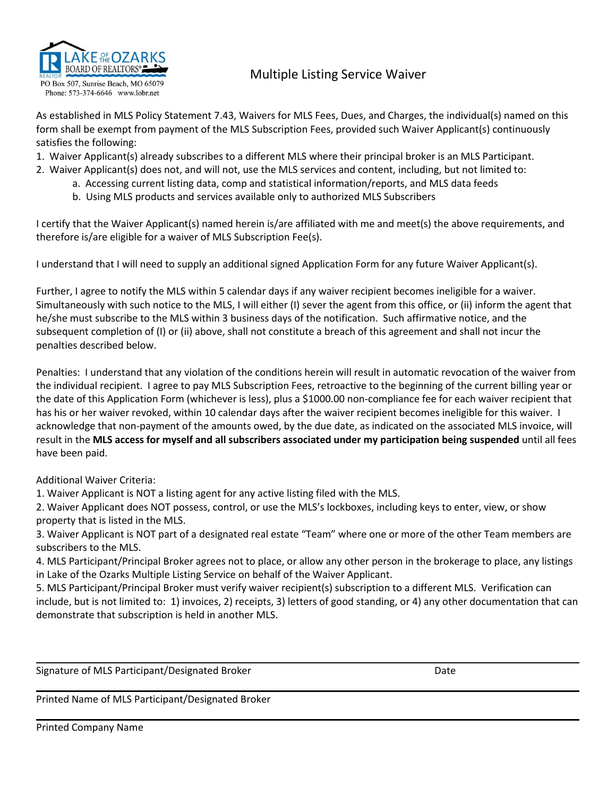

## Multiple Listing Service Waiver

As established in MLS Policy Statement 7.43, Waivers for MLS Fees, Dues, and Charges, the individual(s) named on this form shall be exempt from payment of the MLS Subscription Fees, provided such Waiver Applicant(s) continuously satisfies the following:

- 1. Waiver Applicant(s) already subscribes to a different MLS where their principal broker is an MLS Participant.
- 2. Waiver Applicant(s) does not, and will not, use the MLS services and content, including, but not limited to:
	- a. Accessing current listing data, comp and statistical information/reports, and MLS data feeds
	- b. Using MLS products and services available only to authorized MLS Subscribers

I certify that the Waiver Applicant(s) named herein is/are affiliated with me and meet(s) the above requirements, and therefore is/are eligible for a waiver of MLS Subscription Fee(s).

I understand that I will need to supply an additional signed Application Form for any future Waiver Applicant(s).

Further, I agree to notify the MLS within 5 calendar days if any waiver recipient becomes ineligible for a waiver. Simultaneously with such notice to the MLS, I will either (I) sever the agent from this office, or (ii) inform the agent that he/she must subscribe to the MLS within 3 business days of the notification. Such affirmative notice, and the subsequent completion of (I) or (ii) above, shall not constitute a breach of this agreement and shall notincur the penalties described below.

Penalties: I understand that any violation of the conditions herein will result in automatic revocation of the waiver from the individual recipient. I agree to pay MLS Subscription Fees, retroactive to the beginning of the current billing year or the date of this Application Form (whichever is less), plus a \$1000.00 non-compliance fee for each waiver recipient that has his or her waiver revoked, within 10 calendar days after the waiver recipient becomes ineligible for this waiver. I acknowledge that non-payment of the amounts owed, by the due date, as indicated on the associated MLS invoice, will result in the **MLS access for myself and all subscribers associated under my participation being suspended** until all fees have been paid.

## Additional Waiver Criteria:

- 1. Waiver Applicant is NOT a listing agent for any active listing filed with the MLS.
- 2. Waiver Applicant does NOT possess, control, or use the MLS's lockboxes, including keys to enter, view, or show property that is listed in the MLS.
- 3. Waiver Applicant is NOT part of a designated real estate "Team" where one ormore of the other Team members are subscribers to the MLS.
- 4. MLS Participant/Principal Broker agrees not to place, or allow any other person in the brokerage to place, any listings in Lake of the Ozarks Multiple Listing Service on behalf of the Waiver Applicant.
- 5. MLS Participant/Principal Broker must verify waiver recipient(s) subscription to a different MLS. Verification can include, but is not limited to: 1) invoices, 2) receipts, 3) letters of good standing, or 4) any other documentation that can demonstrate that subscription is held in another MLS.

Signature of MLS Participant/Designated Broker Date Date Date Date

Printed Name of MLS Participant/Designated Broker

Printed Company Name